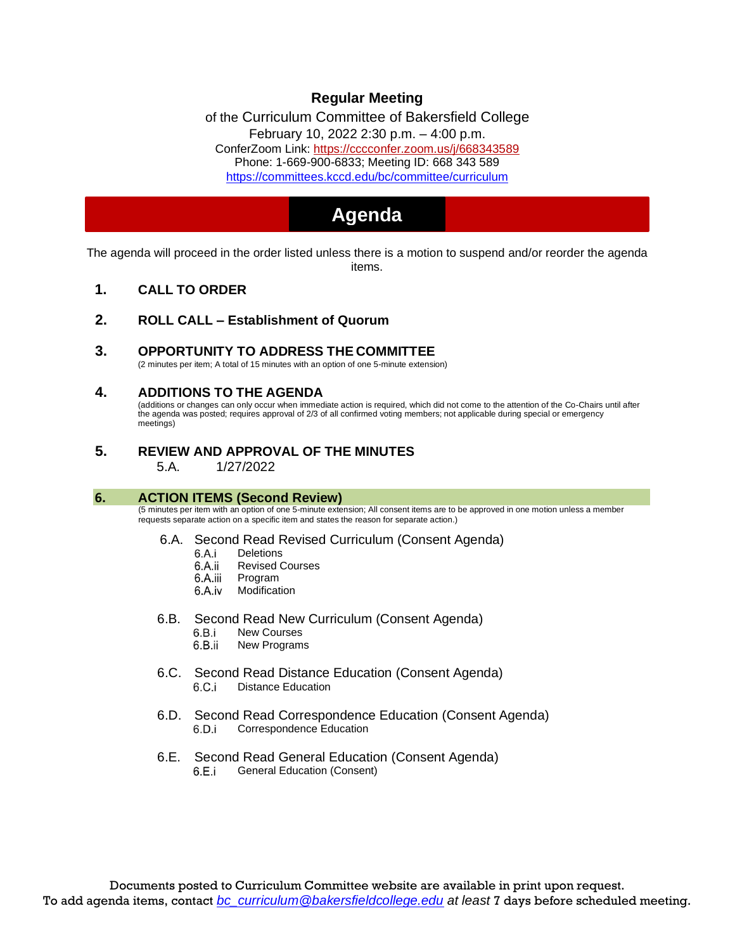# **Regular Meeting**

of the Curriculum Committee of Bakersfield College February 10, 2022 2:30 p.m. – 4:00 p.m. ConferZoom Link: https://cccconfer.zoom.us/j/668343589 Phone: 1-669-900-6833; Meeting ID: 668 343 589 https://committees.kccd.edu/bc/committee/curriculum

# **Agenda**

The agenda will proceed in the order listed unless there is a motion to suspend and/or reorder the agenda items.

- **1. CALL TO ORDER**
- **2. ROLL CALL – Establishment of Quorum**
- **3. OPPORTUNITY TO ADDRESS THE COMMITTEE**

(2 minutes per item; A total of 15 minutes with an option of one 5-minute extension)

### **4. ADDITIONS TO THE AGENDA**

(additions or changes can only occur when immediate action is required, which did not come to the attention of the Co-Chairs until after the agenda was posted; requires approval of 2/3 of all confirmed voting members; not applicable during special or emergency meetings)

**5. REVIEW AND APPROVAL OF THE MINUTES** 5.A. 1/27/2022

#### **6. ACTION ITEMS (Second Review)**

(5 minutes per item with an option of one 5-minute extension; All consent items are to be approved in one motion unless a member requests separate action on a specific item and states the reason for separate action.)

- 6.A. Second Read Revised Curriculum (Consent Agenda)
	- 6.A.i **Deletions** 
		- Revised Courses 6.A.ii
		- 6.A.iii Program
		- 6.A.iv Modification
- 6.B. Second Read New Curriculum (Consent Agenda)
	- 6.B.i New Courses
	- 6.B.ii New Programs
- 6.C. Second Read Distance Education (Consent Agenda)<br>6.C.i Distance Education Distance Education
- 6.D. Second Read Correspondence Education (Consent Agenda) Correspondence Education 6.D.i
- 6.E. Second Read General Education (Consent Agenda) 6.E.i General Education (Consent)